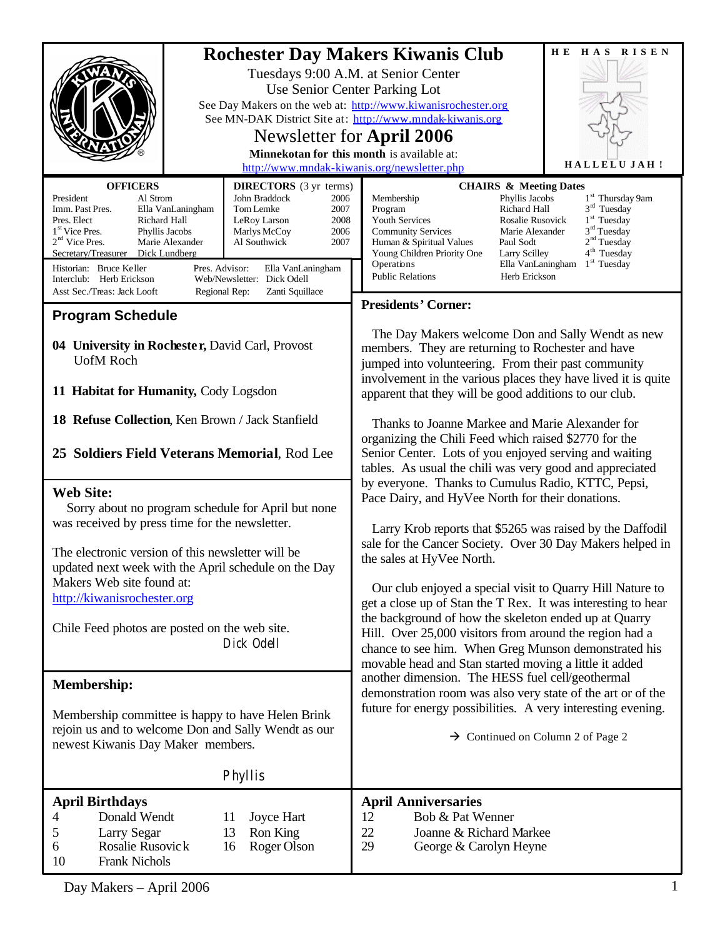|                                                                                                                                                                                                                                                                                                                                                                                                                                                                                                                                                                                                                                                                                                                                                                                                                                                  | H E<br>HAS RISEN<br><b>Rochester Day Makers Kiwanis Club</b><br>Tuesdays 9:00 A.M. at Senior Center<br>Use Senior Center Parking Lot<br>See Day Makers on the web at: http://www.kiwanisrochester.org<br>See MN-DAK District Site at: http://www.mndak-kiwanis.org<br>Newsletter for April 2006<br>Minnekotan for this month is available at:<br>HALLELUJAH!<br>http://www.mndak-kiwanis.org/newsletter.php                                                                                                                                                                                                                                                                                                                                                                                                                                                                                                                                                                                                                                                                                                                                                                                                                                                                                                                                                                                                                                                                                                                                                                                                                                                                                                                                                                                                                                                                                                                                              |  |  |
|--------------------------------------------------------------------------------------------------------------------------------------------------------------------------------------------------------------------------------------------------------------------------------------------------------------------------------------------------------------------------------------------------------------------------------------------------------------------------------------------------------------------------------------------------------------------------------------------------------------------------------------------------------------------------------------------------------------------------------------------------------------------------------------------------------------------------------------------------|----------------------------------------------------------------------------------------------------------------------------------------------------------------------------------------------------------------------------------------------------------------------------------------------------------------------------------------------------------------------------------------------------------------------------------------------------------------------------------------------------------------------------------------------------------------------------------------------------------------------------------------------------------------------------------------------------------------------------------------------------------------------------------------------------------------------------------------------------------------------------------------------------------------------------------------------------------------------------------------------------------------------------------------------------------------------------------------------------------------------------------------------------------------------------------------------------------------------------------------------------------------------------------------------------------------------------------------------------------------------------------------------------------------------------------------------------------------------------------------------------------------------------------------------------------------------------------------------------------------------------------------------------------------------------------------------------------------------------------------------------------------------------------------------------------------------------------------------------------------------------------------------------------------------------------------------------------|--|--|
| <b>OFFICERS</b><br><b>DIRECTORS</b> (3 yr terms)<br>President<br>Al Strom<br>John Braddock<br>2006<br>Tom Lemke<br>Imm. Past Pres.<br>Ella VanLaningham<br>2007<br>Pres. Elect<br>Richard Hall<br>2008<br>LeRoy Larson<br>1 <sup>st</sup> Vice Pres.<br>Phyllis Jacobs<br>2006<br>Marlys McCoy<br>$2nd$ Vice Pres.<br>Marie Alexander<br>Al Southwick<br>2007<br>Secretary/Treasurer Dick Lundberg<br>Historian: Bruce Keller<br>Pres. Advisor:<br>Ella VanLaningham<br>Interclub: Herb Erickson<br>Web/Newsletter: Dick Odell<br>Asst Sec./Treas: Jack Looft<br>Regional Rep:<br>Zanti Squillace<br><b>Program Schedule</b><br>04 University in Rochester, David Carl, Provost<br><b>UofM Roch</b><br>11 Habitat for Humanity, Cody Logsdon<br>18 Refuse Collection, Ken Brown / Jack Stanfield<br>25 Soldiers Field Veterans Memorial, Rod Lee | <b>CHAIRS &amp; Meeting Dates</b><br>1 <sup>st</sup> Thursday 9am<br>Phyllis Jacobs<br>Membership<br>$3rd$ Tuesday<br>Program<br>Richard Hall<br>$1st$ Tuesday<br>Youth Services<br>Rosalie Rusovick<br>3 <sup>rd</sup> Tuesday<br><b>Community Services</b><br>Marie Alexander<br>2 <sup>nd</sup> Tuesday<br>Human & Spiritual Values<br>Paul Sodt<br>$4th$ Tuesday<br>Young Children Priority One<br>Larry Scilley<br>Operations<br>Ella VanLaningham<br>$1st$ Tuesday<br><b>Public Relations</b><br>Herb Erickson<br><b>Presidents' Corner:</b><br>The Day Makers welcome Don and Sally Wendt as new<br>members. They are returning to Rochester and have<br>jumped into volunteering. From their past community<br>involvement in the various places they have lived it is quite<br>apparent that they will be good additions to our club.<br>Thanks to Joanne Markee and Marie Alexander for<br>organizing the Chili Feed which raised \$2770 for the<br>Senior Center. Lots of you enjoyed serving and waiting<br>tables. As usual the chili was very good and appreciated<br>by everyone. Thanks to Cumulus Radio, KTTC, Pepsi,<br>Pace Dairy, and HyVee North for their donations.<br>Larry Krob reports that \$5265 was raised by the Daffodil<br>sale for the Cancer Society. Over 30 Day Makers helped in<br>the sales at HyVee North.<br>Our club enjoyed a special visit to Quarry Hill Nature to<br>get a close up of Stan the T Rex. It was interesting to hear<br>the background of how the skeleton ended up at Quarry<br>Hill. Over 25,000 visitors from around the region had a<br>chance to see him. When Greg Munson demonstrated his<br>movable head and Stan started moving a little it added<br>another dimension. The HESS fuel cell/geothermal<br>demonstration room was also very state of the art or of the<br>future for energy possibilities. A very interesting evening.<br>$\rightarrow$ Continued on Column 2 of Page 2 |  |  |
| <b>Web Site:</b><br>Sorry about no program schedule for April but none<br>was received by press time for the newsletter.<br>The electronic version of this newsletter will be<br>updated next week with the April schedule on the Day<br>Makers Web site found at:<br>http://kiwanisrochester.org<br>Chile Feed photos are posted on the web site.<br>Dick Odell                                                                                                                                                                                                                                                                                                                                                                                                                                                                                 |                                                                                                                                                                                                                                                                                                                                                                                                                                                                                                                                                                                                                                                                                                                                                                                                                                                                                                                                                                                                                                                                                                                                                                                                                                                                                                                                                                                                                                                                                                                                                                                                                                                                                                                                                                                                                                                                                                                                                          |  |  |
| <b>Membership:</b><br>Membership committee is happy to have Helen Brink<br>rejoin us and to welcome Don and Sally Wendt as our<br>newest Kiwanis Day Maker members.<br>Phyllis                                                                                                                                                                                                                                                                                                                                                                                                                                                                                                                                                                                                                                                                   |                                                                                                                                                                                                                                                                                                                                                                                                                                                                                                                                                                                                                                                                                                                                                                                                                                                                                                                                                                                                                                                                                                                                                                                                                                                                                                                                                                                                                                                                                                                                                                                                                                                                                                                                                                                                                                                                                                                                                          |  |  |
| <b>April Birthdays</b><br>Donald Wendt<br>4<br>11<br>Joyce Hart<br>Ron King<br>5<br>Larry Segar<br>13<br>6<br>Rosalie Rusovick<br>16<br>Roger Olson<br><b>Frank Nichols</b><br>10<br>Day Makers - April 2006                                                                                                                                                                                                                                                                                                                                                                                                                                                                                                                                                                                                                                     | <b>April Anniversaries</b><br>Bob & Pat Wenner<br>12<br>22<br>Joanne & Richard Markee<br>29<br>George & Carolyn Heyne                                                                                                                                                                                                                                                                                                                                                                                                                                                                                                                                                                                                                                                                                                                                                                                                                                                                                                                                                                                                                                                                                                                                                                                                                                                                                                                                                                                                                                                                                                                                                                                                                                                                                                                                                                                                                                    |  |  |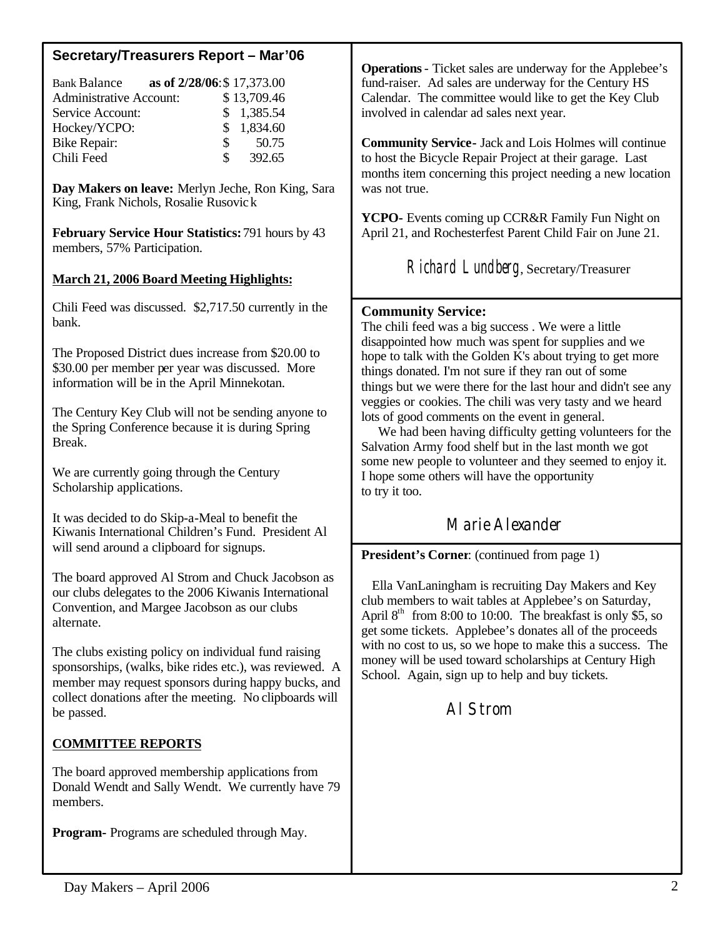## **Secretary/Treasurers Report – Mar'06**

| <b>Bank Balance</b>            | as of 2/28/06:\$17,373.00 |             |
|--------------------------------|---------------------------|-------------|
| <b>Administrative Account:</b> |                           | \$13,709.46 |
| Service Account:               |                           | \$1,385.54  |
| Hockey/YCPO:                   |                           | \$1,834.60  |
| <b>Bike Repair:</b>            |                           | \$<br>50.75 |
| Chili Feed                     | \$.                       | 392.65      |

**Day Makers on leave:** Merlyn Jeche, Ron King, Sara King, Frank Nichols, Rosalie Rusovick

**February Service Hour Statistics:** 791 hours by 43 members, 57% Participation.

### **March 21, 2006 Board Meeting Highlights:**

Chili Feed was discussed. \$2,717.50 currently in the bank.

The Proposed District dues increase from \$20.00 to \$30.00 per member per year was discussed. More information will be in the April Minnekotan.

The Century Key Club will not be sending anyone to the Spring Conference because it is during Spring Break.

We are currently going through the Century Scholarship applications.

It was decided to do Skip-a-Meal to benefit the Kiwanis International Children's Fund. President Al will send around a clipboard for signups.

The board approved Al Strom and Chuck Jacobson as our clubs delegates to the 2006 Kiwanis International Convention, and Margee Jacobson as our clubs alternate.

The clubs existing policy on individual fund raising sponsorships, (walks, bike rides etc.), was reviewed. A member may request sponsors during happy bucks, and collect donations after the meeting. No clipboards will be passed.

## **COMMITTEE REPORTS**

The board approved membership applications from Donald Wendt and Sally Wendt. We currently have 79 members.

**Program-** Programs are scheduled through May.

**Operations**- Ticket sales are underway for the Applebee's fund-raiser. Ad sales are underway for the Century HS Calendar. The committee would like to get the Key Club involved in calendar ad sales next year.

**Community Service-** Jack and Lois Holmes will continue to host the Bicycle Repair Project at their garage. Last months item concerning this project needing a new location was not true.

**YCPO-** Events coming up CCR&R Family Fun Night on April 21, and Rochesterfest Parent Child Fair on June 21.

Richard Lundberg, Secretary/Treasurer

## **Community Service:**

The chili feed was a big success . We were a little disappointed how much was spent for supplies and we hope to talk with the Golden K's about trying to get more things donated. I'm not sure if they ran out of some things but we were there for the last hour and didn't see any veggies or cookies. The chili was very tasty and we heard lots of good comments on the event in general.

 We had been having difficulty getting volunteers for the Salvation Army food shelf but in the last month we got some new people to volunteer and they seemed to enjoy it. I hope some others will have the opportunity to try it too.

# Marie Alexander

**President's Corner**: (continued from page 1)

 Ella VanLaningham is recruiting Day Makers and Key club members to wait tables at Applebee's on Saturday, April  $8<sup>th</sup>$  from 8:00 to 10:00. The breakfast is only \$5, so get some tickets. Applebee's donates all of the proceeds with no cost to us, so we hope to make this a success. The money will be used toward scholarships at Century High School. Again, sign up to help and buy tickets.

Al Strom